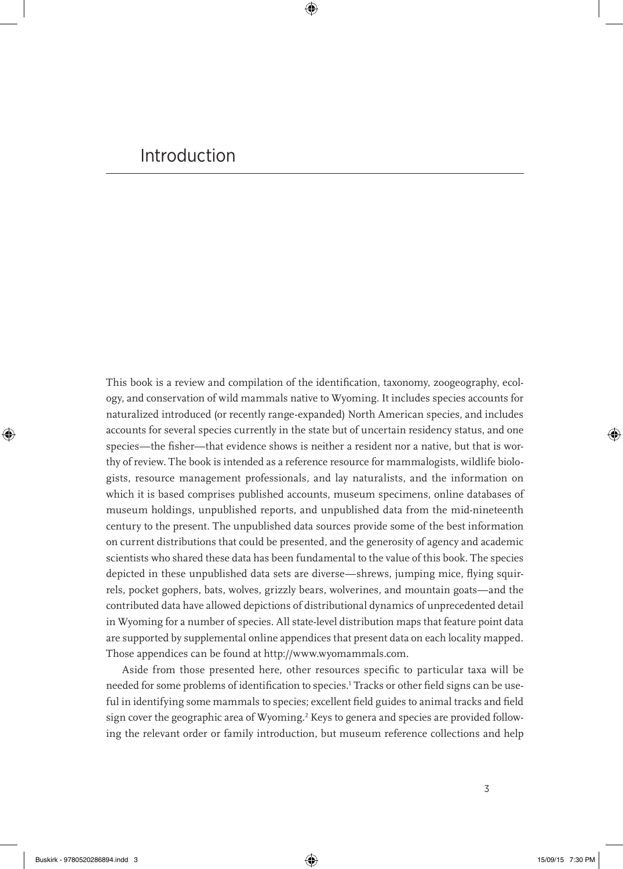## Introduction

This book is a review and compilation of the identification, taxonomy, zoogeography, ecology, and conservation of wild mammals native to Wyoming. It includes species accounts for naturalized introduced (or recently range-expanded) North American species, and includes accounts for several species currently in the state but of uncertain residency status, and one species—the fisher—that evidence shows is neither a resident nor a native, but that is worthy of review. The book is intended as a reference resource for mammalogists, wildlife biologists, resource management professionals, and lay naturalists, and the information on which it is based comprises published accounts, museum specimens, online databases of museum holdings, unpublished reports, and unpublished data from the mid-nineteenth century to the present. The unpublished data sources provide some of the best information on current distributions that could be presented, and the generosity of agency and academic scientists who shared these data has been fundamental to the value of this book. The species depicted in these unpublished data sets are diverse—shrews, jumping mice, flying squirrels, pocket gophers, bats, wolves, grizzly bears, wolverines, and mountain goats—and the contributed data have allowed depictions of distributional dynamics of unprecedented detail in Wyoming for a number of species. All state-level distribution maps that feature point data are supported by supplemental online appendices that present data on each locality mapped. Those appendices can be found at http://www.wyomammals.com.

⊕

Aside from those presented here, other resources specific to particular taxa will be needed for some problems of identification to species.<sup>1</sup> Tracks or other field signs can be useful in identifying some mammals to species; excellent field guides to animal tracks and field sign cover the geographic area of Wyoming.<sup>2</sup> Keys to genera and species are provided following the relevant order or family introduction, but museum reference collections and help

⊕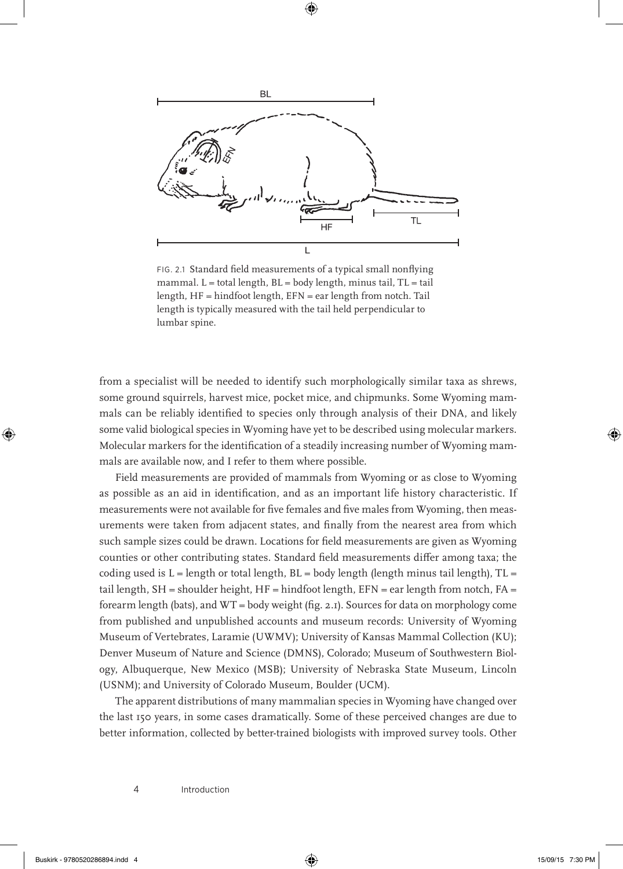



FIG. 2.1 Standard field measurements of a typical small nonflying mammal.  $L =$  total length,  $BL =$  body length, minus tail,  $TL =$  tail length, HF = hindfoot length, EFN = ear length from notch. Tail length is typically measured with the tail held perpendicular to lumbar spine.

from a specialist will be needed to identify such morphologically similar taxa as shrews, some ground squirrels, harvest mice, pocket mice, and chipmunks. Some Wyoming mammals can be reliably identified to species only through analysis of their DNA, and likely some valid biological species in Wyoming have yet to be described using molecular markers. Molecular markers for the identification of a steadily increasing number of Wyoming mammals are available now, and I refer to them where possible.

Field measurements are provided of mammals from Wyoming or as close to Wyoming as possible as an aid in identification, and as an important life history characteristic. If measurements were not available for five females and five males from Wyoming, then measurements were taken from adjacent states, and finally from the nearest area from which such sample sizes could be drawn. Locations for field measurements are given as Wyoming counties or other contributing states. Standard field measurements differ among taxa; the coding used is  $L =$  length or total length,  $BL =$  body length (length minus tail length),  $TL =$ tail length,  $SH =$  shoulder height,  $HF =$  hindfoot length,  $FFN =$  ear length from notch,  $FA =$ forearm length (bats), and  $WT =$  body weight (fig. 2.1). Sources for data on morphology come from published and unpublished accounts and museum records: University of Wyoming Museum of Vertebrates, Laramie (UWMV); University of Kansas Mammal Collection (KU); Denver Museum of Nature and Science (DMNS), Colorado; Museum of Southwestern Biology, Albuquerque, New Mexico (MSB); University of Nebraska State Museum, Lincoln (USNM); and University of Colorado Museum, Boulder (UCM).

The apparent distributions of many mammalian species in Wyoming have changed over the last 150 years, in some cases dramatically. Some of these perceived changes are due to better information, collected by better-trained biologists with improved survey tools. Other

4 Introduction

⊕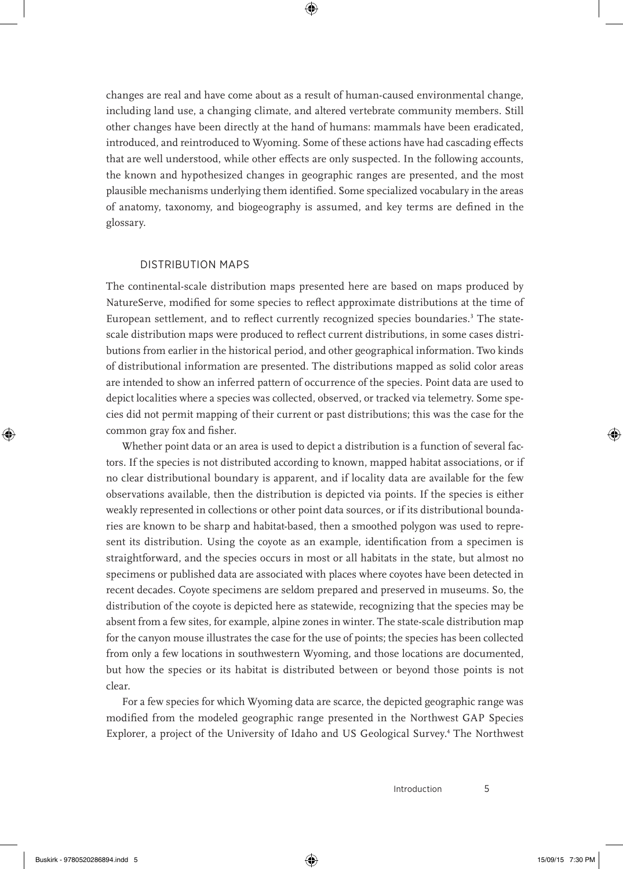⊕

changes are real and have come about as a result of human-caused environmental change, including land use, a changing climate, and altered vertebrate community members. Still other changes have been directly at the hand of humans: mammals have been eradicated, introduced, and reintroduced to Wyoming. Some of these actions have had cascading effects that are well understood, while other effects are only suspected. In the following accounts, the known and hypothesized changes in geographic ranges are presented, and the most plausible mechanisms underlying them identified. Some specialized vocabulary in the areas of anatomy, taxonomy, and biogeography is assumed, and key terms are defined in the glossary.

## DISTRIBUTION MAPS

The continental-scale distribution maps presented here are based on maps produced by NatureServe, modified for some species to reflect approximate distributions at the time of European settlement, and to reflect currently recognized species boundaries.<sup>3</sup> The statescale distribution maps were produced to reflect current distributions, in some cases distributions from earlier in the historical period, and other geographical information. Two kinds of distributional information are presented. The distributions mapped as solid color areas are intended to show an inferred pattern of occurrence of the species. Point data are used to depict localities where a species was collected, observed, or tracked via telemetry. Some species did not permit mapping of their current or past distributions; this was the case for the common gray fox and fisher.

Whether point data or an area is used to depict a distribution is a function of several factors. If the species is not distributed according to known, mapped habitat associations, or if no clear distributional boundary is apparent, and if locality data are available for the few observations available, then the distribution is depicted via points. If the species is either weakly represented in collections or other point data sources, or if its distributional boundaries are known to be sharp and habitat-based, then a smoothed polygon was used to represent its distribution. Using the coyote as an example, identification from a specimen is straightforward, and the species occurs in most or all habitats in the state, but almost no specimens or published data are associated with places where coyotes have been detected in recent decades. Coyote specimens are seldom prepared and preserved in museums. So, the distribution of the coyote is depicted here as statewide, recognizing that the species may be absent from a few sites, for example, alpine zones in winter. The state-scale distribution map for the canyon mouse illustrates the case for the use of points; the species has been collected from only a few locations in southwestern Wyoming, and those locations are documented, but how the species or its habitat is distributed between or beyond those points is not clear.

For a few species for which Wyoming data are scarce, the depicted geographic range was modified from the modeled geographic range presented in the Northwest GAP Species Explorer, a project of the University of Idaho and US Geological Survey.<sup>4</sup> The Northwest

⊕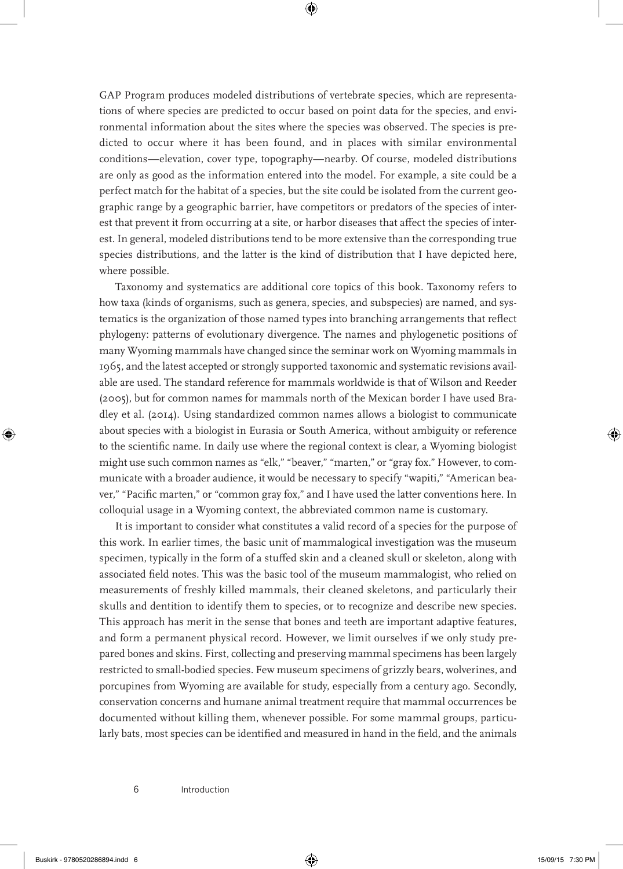GAP Program produces modeled distributions of vertebrate species, which are representations of where species are predicted to occur based on point data for the species, and environmental information about the sites where the species was observed. The species is predicted to occur where it has been found, and in places with similar environmental conditions—elevation, cover type, topography—nearby. Of course, modeled distributions are only as good as the information entered into the model. For example, a site could be a perfect match for the habitat of a species, but the site could be isolated from the current geographic range by a geographic barrier, have competitors or predators of the species of interest that prevent it from occurring at a site, or harbor diseases that affect the species of interest. In general, modeled distributions tend to be more extensive than the corresponding true species distributions, and the latter is the kind of distribution that I have depicted here, where possible.

⊕

Taxonomy and systematics are additional core topics of this book. Taxonomy refers to how taxa (kinds of organisms, such as genera, species, and subspecies) are named, and systematics is the organization of those named types into branching arrangements that reflect phylogeny: patterns of evolutionary divergence. The names and phylogenetic positions of many Wyoming mammals have changed since the seminar work on Wyoming mammals in 1965, and the latest accepted or strongly supported taxonomic and systematic revisions available are used. The standard reference for mammals worldwide is that of Wilson and Reeder (2005), but for common names for mammals north of the Mexican border I have used Bradley et al. (2014). Using standardized common names allows a biologist to communicate about species with a biologist in Eurasia or South America, without ambiguity or reference to the scientific name. In daily use where the regional context is clear, a Wyoming biologist might use such common names as "elk," "beaver," "marten," or "gray fox." However, to communicate with a broader audience, it would be necessary to specify "wapiti," "American beaver," "Pacific marten," or "common gray fox," and I have used the latter conventions here. In colloquial usage in a Wyoming context, the abbreviated common name is customary.

It is important to consider what constitutes a valid record of a species for the purpose of this work. In earlier times, the basic unit of mammalogical investigation was the museum specimen, typically in the form of a stuffed skin and a cleaned skull or skeleton, along with associated field notes. This was the basic tool of the museum mammalogist, who relied on measurements of freshly killed mammals, their cleaned skeletons, and particularly their skulls and dentition to identify them to species, or to recognize and describe new species. This approach has merit in the sense that bones and teeth are important adaptive features, and form a permanent physical record. However, we limit ourselves if we only study prepared bones and skins. First, collecting and preserving mammal specimens has been largely restricted to small-bodied species. Few museum specimens of grizzly bears, wolverines, and porcupines from Wyoming are available for study, especially from a century ago. Secondly, conservation concerns and humane animal treatment require that mammal occurrences be documented without killing them, whenever possible. For some mammal groups, particularly bats, most species can be identified and measured in hand in the field, and the animals

⊕